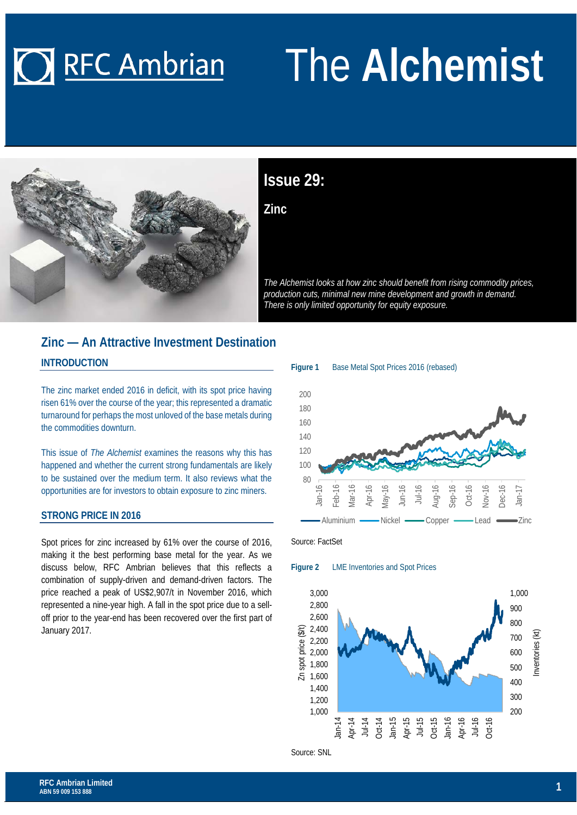# **O RFC Ambrian**

# The **Alchemist**



## **Issue 29:**

**Zinc**

*The Alchemist looks at how zinc should benefit from rising commodity prices, production cuts, minimal new mine development and growth in demand. There is only limited opportunity for equity exposure.*

### **Zinc — An Attractive Investment Destination INTRODUCTION**

The zinc market ended 2016 in deficit, with its spot price having risen 61% over the course of the year; this represented a dramatic turnaround for perhaps the most unloved of the base metals during the commodities downturn.

This issue of *The Alchemist* examines the reasons why this has happened and whether the current strong fundamentals are likely to be sustained over the medium term. It also reviews what the opportunities are for investors to obtain exposure to zinc miners.

#### **STRONG PRICE IN 2016**

Spot prices for zinc increased by 61% over the course of 2016, making it the best performing base metal for the year. As we discuss below, RFC Ambrian believes that this reflects a combination of supply-driven and demand-driven factors. The price reached a peak of US\$2,907/t in November 2016, which represented a nine-year high. A fall in the spot price due to a selloff prior to the year-end has been recovered over the first part of January 2017.





Source: FactSet

**Figure 2** LME Inventories and Spot Prices

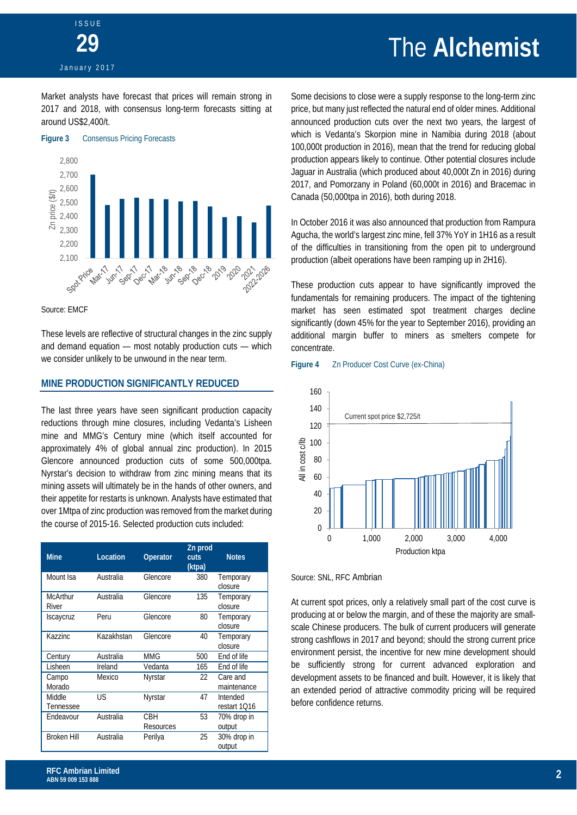## **ISSUE 29** January 2017

# The **Alchemist**

Market analysts have forecast that prices will remain strong in 2017 and 2018, with consensus long-term forecasts sitting at around US\$2,400/t.



Source: EMCF

These levels are reflective of structural changes in the zinc supply and demand equation — most notably production cuts — which we consider unlikely to be unwound in the near term.

#### **MINE PRODUCTION SIGNIFICANTLY REDUCED**

The last three years have seen significant production capacity reductions through mine closures, including Vedanta's Lisheen mine and MMG's Century mine (which itself accounted for approximately 4% of global annual zinc production). In 2015 Glencore announced production cuts of some 500,000tpa. Nyrstar's decision to withdraw from zinc mining means that its mining assets will ultimately be in the hands of other owners, and their appetite for restarts is unknown. Analysts have estimated that over 1Mtpa of zinc production was removed from the market during the course of 2015-16. Selected production cuts included:

| <b>Mine</b>              | Location   | Operator         | Zn prod<br><b>cuts</b><br>(ktpa) | <b>Notes</b>             |
|--------------------------|------------|------------------|----------------------------------|--------------------------|
| Mount Isa                | Australia  | Glencore         | 380                              | Temporary<br>closure     |
| <b>McArthur</b><br>River | Australia  | Glencore         | 135                              | Temporary<br>closure     |
| <b>Iscaycruz</b>         | Peru       | Glencore         | 80                               | Temporary<br>closure     |
| Kazzinc                  | Kazakhstan | Glencore         | 40                               | Temporary<br>closure     |
| Century                  | Australia  | MMG              | 500                              | End of life              |
| Lisheen                  | Ireland    | Vedanta          | 165                              | End of life              |
| Campo<br>Morado          | Mexico     | Nyrstar          | 22                               | Care and<br>maintenance  |
| Middle<br>Tennessee      | US         | Nyrstar          | 47                               | Intended<br>restart 1Q16 |
| Endeavour                | Australia  | CBH<br>Resources | 53                               | 70% drop in<br>output    |
| <b>Broken Hill</b>       | Australia  | Perilya          | 25                               | 30% drop in<br>output    |

Some decisions to close were a supply response to the long-term zinc price, but many just reflected the natural end of older mines. Additional announced production cuts over the next two years, the largest of which is Vedanta's Skorpion mine in Namibia during 2018 (about 100,000t production in 2016), mean that the trend for reducing global production appears likely to continue. Other potential closures include Jaguar in Australia (which produced about 40,000t Zn in 2016) during 2017, and Pomorzany in Poland (60,000t in 2016) and Bracemac in Canada (50,000tpa in 2016), both during 2018.

In October 2016 it was also announced that production from Rampura Agucha, the world's largest zinc mine, fell 37% YoY in 1H16 as a result of the difficulties in transitioning from the open pit to underground production (albeit operations have been ramping up in 2H16).

These production cuts appear to have significantly improved the fundamentals for remaining producers. The impact of the tightening market has seen estimated spot treatment charges decline significantly (down 45% for the year to September 2016), providing an additional margin buffer to miners as smelters compete for concentrate.

#### **Figure 4** Zn Producer Cost Curve (ex-China)



#### Source: SNL, RFC Ambrian

At current spot prices, only a relatively small part of the cost curve is producing at or below the margin, and of these the majority are smallscale Chinese producers. The bulk of current producers will generate strong cashflows in 2017 and beyond; should the strong current price environment persist, the incentive for new mine development should be sufficiently strong for current advanced exploration and development assets to be financed and built. However, it is likely that an extended period of attractive commodity pricing will be required before confidence returns.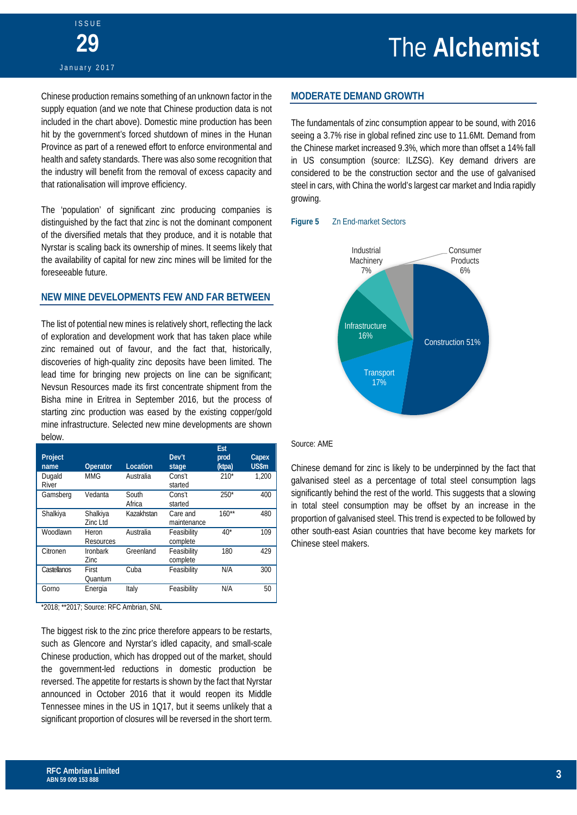Chinese production remains something of an unknown factor in the supply equation (and we note that Chinese production data is not included in the chart above). Domestic mine production has been hit by the government's forced shutdown of mines in the Hunan Province as part of a renewed effort to enforce environmental and health and safety standards. There was also some recognition that the industry will benefit from the removal of excess capacity and that rationalisation will improve efficiency.

The 'population' of significant zinc producing companies is distinguished by the fact that zinc is not the dominant component of the diversified metals that they produce, and it is notable that Nyrstar is scaling back its ownership of mines. It seems likely that the availability of capital for new zinc mines will be limited for the foreseeable future.

#### **NEW MINE DEVELOPMENTS FEW AND FAR BETWEEN**

The list of potential new mines is relatively short, reflecting the lack of exploration and development work that has taken place while zinc remained out of favour, and the fact that, historically, discoveries of high-quality zinc deposits have been limited. The lead time for bringing new projects on line can be significant; Nevsun Resources made its first concentrate shipment from the Bisha mine in Eritrea in September 2016, but the process of starting zinc production was eased by the existing copper/gold mine infrastructure. Selected new mine developments are shown below.

| Project<br>name | Operator                | Location        | Dev't<br>stage          | Est<br>prod<br>(ktpa) | Capex<br><b>US\$m</b> |
|-----------------|-------------------------|-----------------|-------------------------|-----------------------|-----------------------|
| Dugald<br>River | <b>MMG</b>              | Australia       | Cons't<br>started       | $210*$                | 1.200                 |
| Gamsberg        | Vedanta                 | South<br>Africa | Cons't<br>started       | $250*$                | 400                   |
| Shalkiya        | Shalkiya<br>Zinc Ltd    | Kazakhstan      | Care and<br>maintenance | $160**$               | 480                   |
| Woodlawn        | Heron<br>Resources      | Australia       | Feasibility<br>complete | $40*$                 | 109                   |
| Citronen        | <b>Ironbark</b><br>Zinc | Greenland       | Feasibility<br>complete | 180                   | 429                   |
| Castellanos     | First<br>Ouantum        | Cuba            | Feasibility             | N/A                   | 300                   |
| Gorno           | Energia                 | Italy           | Feasibility             | N/A                   | 50                    |

\*2018; \*\*2017; Source: RFC Ambrian, SNL

The biggest risk to the zinc price therefore appears to be restarts, such as Glencore and Nyrstar's idled capacity, and small-scale Chinese production, which has dropped out of the market, should the government-led reductions in domestic production be reversed. The appetite for restarts is shown by the fact that Nyrstar announced in October 2016 that it would reopen its Middle Tennessee mines in the US in 1Q17, but it seems unlikely that a significant proportion of closures will be reversed in the short term.

#### **MODERATE DEMAND GROWTH**

The fundamentals of zinc consumption appear to be sound, with 2016 seeing a 3.7% rise in global refined zinc use to 11.6Mt. Demand from the Chinese market increased 9.3%, which more than offset a 14% fall in US consumption (source: ILZSG). Key demand drivers are considered to be the construction sector and the use of galvanised steel in cars, with China the world's largest car market and India rapidly growing.

#### **Figure 5** Zn End-market Sectors



#### Source: AME

Chinese demand for zinc is likely to be underpinned by the fact that galvanised steel as a percentage of total steel consumption lags significantly behind the rest of the world. This suggests that a slowing in total steel consumption may be offset by an increase in the proportion of galvanised steel. This trend is expected to be followed by other south-east Asian countries that have become key markets for Chinese steel makers.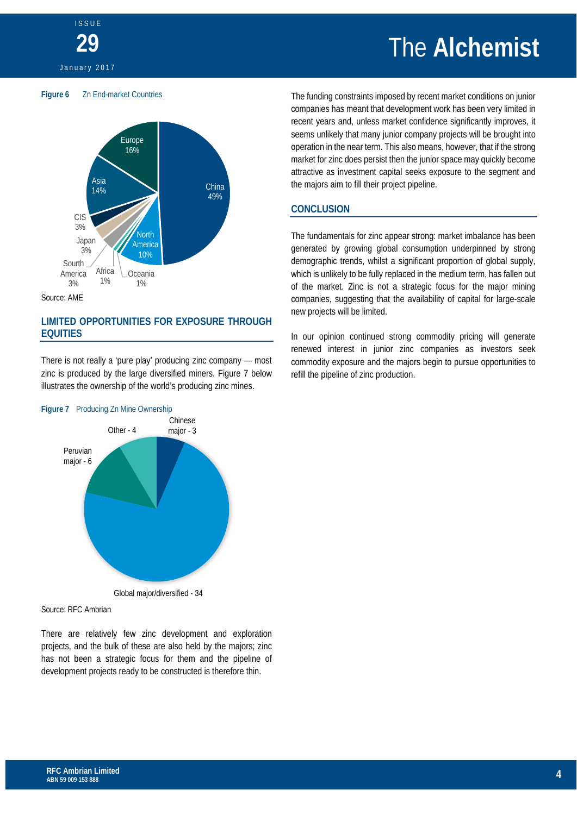# The **Alchemist**



**ISSUE** 

**29**







#### **LIMITED OPPORTUNITIES FOR EXPOSURE THROUGH EQUITIES**

There is not really a 'pure play' producing zinc company — most zinc is produced by the large diversified miners. Figure 7 below illustrates the ownership of the world's producing zinc mines.



Global major/diversified - 34

Source: RFC Ambrian

There are relatively few zinc development and exploration projects, and the bulk of these are also held by the majors; zinc has not been a strategic focus for them and the pipeline of development projects ready to be constructed is therefore thin.

The funding constraints imposed by recent market conditions on junior companies has meant that development work has been very limited in recent years and, unless market confidence significantly improves, it seems unlikely that many junior company projects will be brought into operation in the near term. This also means, however, that if the strong market for zinc does persist then the junior space may quickly become attractive as investment capital seeks exposure to the segment and the majors aim to fill their project pipeline.

#### **CONCLUSION**

The fundamentals for zinc appear strong: market imbalance has been generated by growing global consumption underpinned by strong demographic trends, whilst a significant proportion of global supply, which is unlikely to be fully replaced in the medium term, has fallen out of the market. Zinc is not a strategic focus for the major mining companies, suggesting that the availability of capital for large-scale new projects will be limited.

In our opinion continued strong commodity pricing will generate renewed interest in junior zinc companies as investors seek commodity exposure and the majors begin to pursue opportunities to refill the pipeline of zinc production.